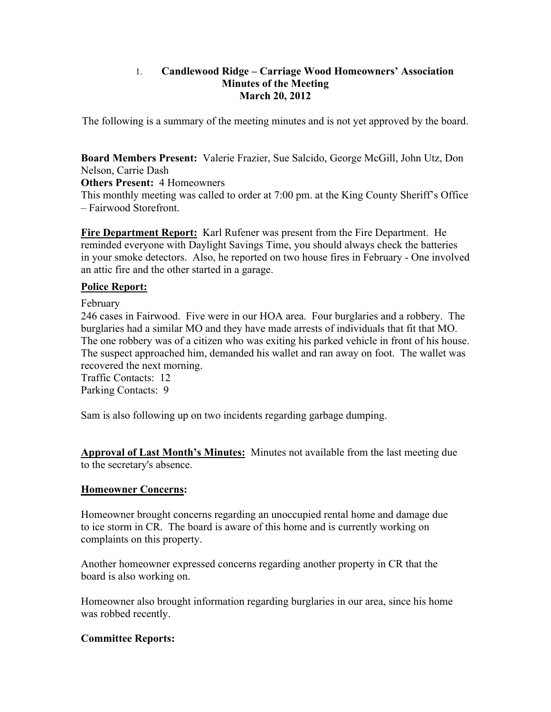## 1. **Candlewood Ridge – Carriage Wood Homeowners' Association Minutes of the Meeting March 20, 2012**

The following is a summary of the meeting minutes and is not yet approved by the board.

**Board Members Present:** Valerie Frazier, Sue Salcido, George McGill, John Utz, Don Nelson, Carrie Dash

**Others Present:** 4 Homeowners

This monthly meeting was called to order at 7:00 pm. at the King County Sheriff's Office – Fairwood Storefront.

**Fire Department Report:** Karl Rufener was present from the Fire Department. He reminded everyone with Daylight Savings Time, you should always check the batteries in your smoke detectors. Also, he reported on two house fires in February - One involved an attic fire and the other started in a garage.

## **Police Report:**

February

246 cases in Fairwood. Five were in our HOA area. Four burglaries and a robbery. The burglaries had a similar MO and they have made arrests of individuals that fit that MO. The one robbery was of a citizen who was exiting his parked vehicle in front of his house. The suspect approached him, demanded his wallet and ran away on foot. The wallet was recovered the next morning.

Traffic Contacts: 12 Parking Contacts: 9

Sam is also following up on two incidents regarding garbage dumping.

**Approval of Last Month's Minutes:** Minutes not available from the last meeting due to the secretary's absence.

## **Homeowner Concerns:**

Homeowner brought concerns regarding an unoccupied rental home and damage due to ice storm in CR. The board is aware of this home and is currently working on complaints on this property.

Another homeowner expressed concerns regarding another property in CR that the board is also working on.

Homeowner also brought information regarding burglaries in our area, since his home was robbed recently.

## **Committee Reports:**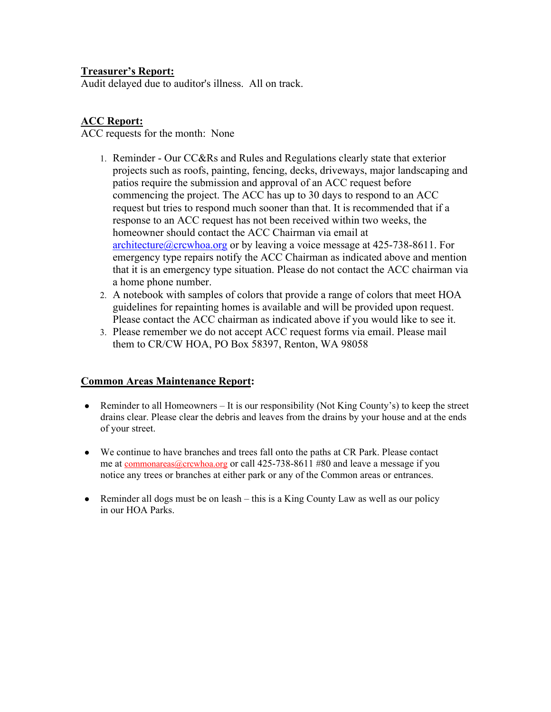# **Treasurer's Report:**

Audit delayed due to auditor's illness. All on track.

# **ACC Report:**

ACC requests for the month: None

- 1. Reminder Our CC&Rs and Rules and Regulations clearly state that exterior projects such as roofs, painting, fencing, decks, driveways, major landscaping and patios require the submission and approval of an ACC request before commencing the project. The ACC has up to 30 days to respond to an ACC request but tries to respond much sooner than that. It is recommended that if a response to an ACC request has not been received within two weeks, the homeowner should contact the ACC Chairman via email at architecture@crcwhoa.org or by leaving a voice message at 425-738-8611. For emergency type repairs notify the ACC Chairman as indicated above and mention that it is an emergency type situation. Please do not contact the ACC chairman via a home phone number.
- 2. A notebook with samples of colors that provide a range of colors that meet HOA guidelines for repainting homes is available and will be provided upon request. Please contact the ACC chairman as indicated above if you would like to see it.
- 3. Please remember we do not accept ACC request forms via email. Please mail them to CR/CW HOA, PO Box 58397, Renton, WA 98058

# **Common Areas Maintenance Report:**

- Reminder to all Homeowners It is our responsibility (Not King County's) to keep the street drains clear. Please clear the debris and leaves from the drains by your house and at the ends of your street.
- We continue to have branches and trees fall onto the paths at CR Park. Please contact me at commonareas@crcwhoa.org or call 425-738-8611 #80 and leave a message if you notice any trees or branches at either park or any of the Common areas or entrances.
- $\bullet$  Reminder all dogs must be on leash this is a King County Law as well as our policy in our HOA Parks.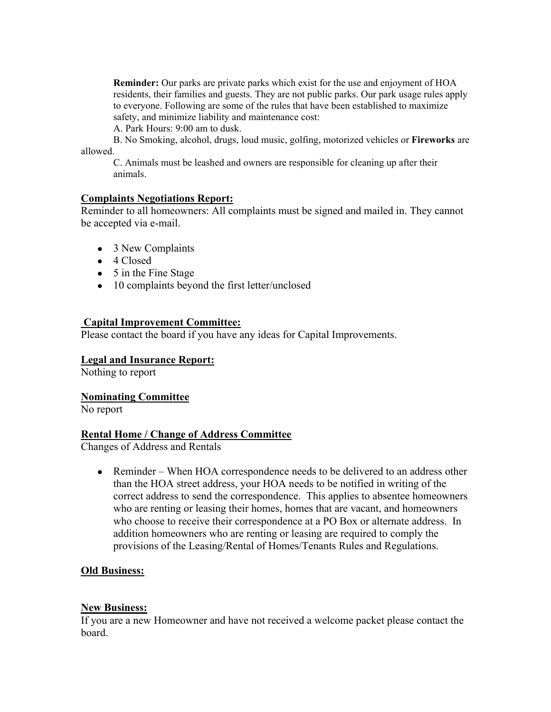**Reminder:** Our parks are private parks which exist for the use and enjoyment of HOA residents, their families and guests. They are not public parks. Our park usage rules apply to everyone. Following are some of the rules that have been established to maximize safety, and minimize liability and maintenance cost:

A. Park Hours: 9:00 am to dusk.

B. No Smoking, alcohol, drugs, loud music, golfing, motorized vehicles or **Fireworks** are allowed.

C. Animals must be leashed and owners are responsible for cleaning up after their animals.

## **Complaints Negotiations Report:**

Reminder to all homeowners: All complaints must be signed and mailed in. They cannot be accepted via e-mail.

- 3 New Complaints
- 4 Closed
- 5 in the Fine Stage
- 10 complaints beyond the first letter/unclosed

#### **Capital Improvement Committee:**

Please contact the board if you have any ideas for Capital Improvements.

#### **Legal and Insurance Report:**

Nothing to report

#### **Nominating Committee**

No report

#### **Rental Home / Change of Address Committee**

Changes of Address and Rentals

• Reminder – When HOA correspondence needs to be delivered to an address other than the HOA street address, your HOA needs to be notified in writing of the correct address to send the correspondence. This applies to absentee homeowners who are renting or leasing their homes, homes that are vacant, and homeowners who choose to receive their correspondence at a PO Box or alternate address. In addition homeowners who are renting or leasing are required to comply the provisions of the Leasing/Rental of Homes/Tenants Rules and Regulations.

## **Old Business:**

#### **New Business:**

If you are a new Homeowner and have not received a welcome packet please contact the board.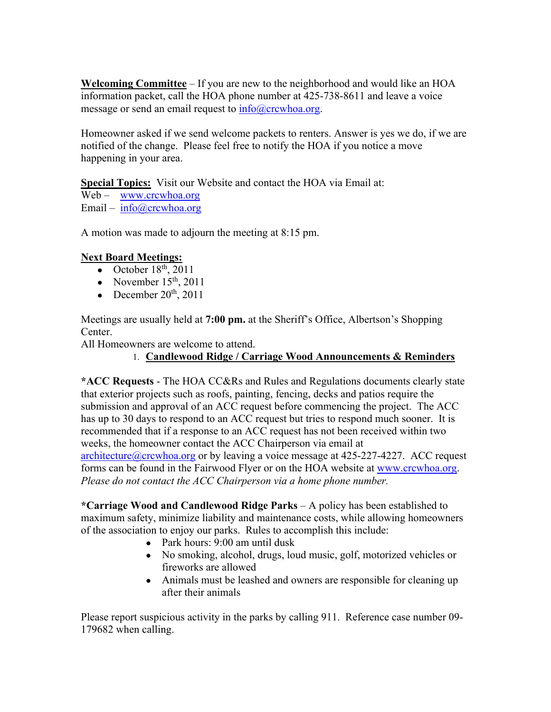**Welcoming Committee** – If you are new to the neighborhood and would like an HOA information packet, call the HOA phone number at 425-738-8611 and leave a voice message or send an email request to  $info@crcwhoa.org$ .

Homeowner asked if we send welcome packets to renters. Answer is yes we do, if we are notified of the change. Please feel free to notify the HOA if you notice a move happening in your area.

**Special Topics:** Visit our Website and contact the HOA via Email at:

Web – www.crcwhoa.org Email – info@crcwhoa.org

A motion was made to adjourn the meeting at 8:15 pm.

# **Next Board Meetings:**

- October  $18<sup>th</sup>$ , 2011
- November  $15<sup>th</sup>$ , 2011
- December  $20^{th}$ ,  $2011$

Meetings are usually held at **7:00 pm.** at the Sheriff's Office, Albertson's Shopping Center.

All Homeowners are welcome to attend.

# 1. **Candlewood Ridge / Carriage Wood Announcements & Reminders**

**\*ACC Requests** - The HOA CC&Rs and Rules and Regulations documents clearly state that exterior projects such as roofs, painting, fencing, decks and patios require the submission and approval of an ACC request before commencing the project. The ACC has up to 30 days to respond to an ACC request but tries to respond much sooner. It is recommended that if a response to an ACC request has not been received within two weeks, the homeowner contact the ACC Chairperson via email at

architecture@crcwhoa.org or by leaving a voice message at 425-227-4227. ACC request forms can be found in the Fairwood Flyer or on the HOA website at www.crcwhoa.org. *Please do not contact the ACC Chairperson via a home phone number.*

**\*Carriage Wood and Candlewood Ridge Parks** – A policy has been established to maximum safety, minimize liability and maintenance costs, while allowing homeowners of the association to enjoy our parks. Rules to accomplish this include:

- Park hours: 9:00 am until dusk
- No smoking, alcohol, drugs, loud music, golf, motorized vehicles or fireworks are allowed
- Animals must be leashed and owners are responsible for cleaning up after their animals

Please report suspicious activity in the parks by calling 911. Reference case number 09- 179682 when calling.